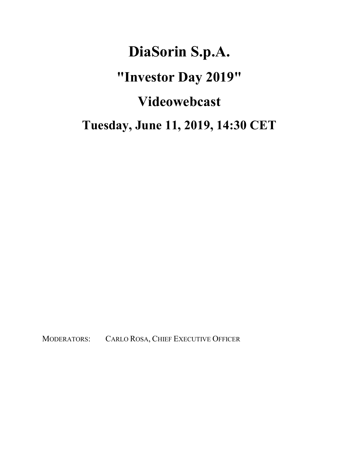## **DiaSorin S.p.A. "Investor Day 2019" Videowebcast Tuesday, June 11, 2019, 14:30 CET**

MODERATORS: CARLO ROSA, CHIEF EXECUTIVE OFFICER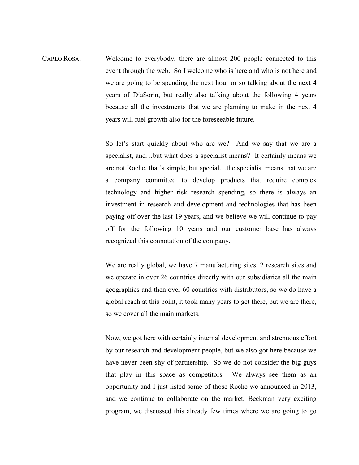CARLO ROSA: Welcome to everybody, there are almost 200 people connected to this event through the web. So I welcome who is here and who is not here and we are going to be spending the next hour or so talking about the next 4 years of DiaSorin, but really also talking about the following 4 years because all the investments that we are planning to make in the next 4 years will fuel growth also for the foreseeable future.

> So let's start quickly about who are we? And we say that we are a specialist, and…but what does a specialist means? It certainly means we are not Roche, that's simple, but special…the specialist means that we are a company committed to develop products that require complex technology and higher risk research spending, so there is always an investment in research and development and technologies that has been paying off over the last 19 years, and we believe we will continue to pay off for the following 10 years and our customer base has always recognized this connotation of the company.

> We are really global, we have 7 manufacturing sites, 2 research sites and we operate in over 26 countries directly with our subsidiaries all the main geographies and then over 60 countries with distributors, so we do have a global reach at this point, it took many years to get there, but we are there, so we cover all the main markets.

> Now, we got here with certainly internal development and strenuous effort by our research and development people, but we also got here because we have never been shy of partnership. So we do not consider the big guys that play in this space as competitors. We always see them as an opportunity and I just listed some of those Roche we announced in 2013, and we continue to collaborate on the market, Beckman very exciting program, we discussed this already few times where we are going to go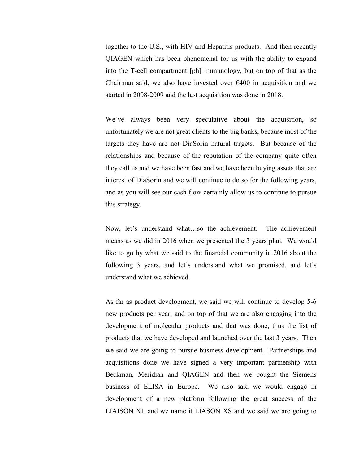together to the U.S., with HIV and Hepatitis products. And then recently QIAGEN which has been phenomenal for us with the ability to expand into the T-cell compartment [ph] immunology, but on top of that as the Chairman said, we also have invested over  $\epsilon$ 400 in acquisition and we started in 2008-2009 and the last acquisition was done in 2018.

We've always been very speculative about the acquisition, so unfortunately we are not great clients to the big banks, because most of the targets they have are not DiaSorin natural targets. But because of the relationships and because of the reputation of the company quite often they call us and we have been fast and we have been buying assets that are interest of DiaSorin and we will continue to do so for the following years, and as you will see our cash flow certainly allow us to continue to pursue this strategy.

Now, let's understand what…so the achievement. The achievement means as we did in 2016 when we presented the 3 years plan. We would like to go by what we said to the financial community in 2016 about the following 3 years, and let's understand what we promised, and let's understand what we achieved.

As far as product development, we said we will continue to develop 5-6 new products per year, and on top of that we are also engaging into the development of molecular products and that was done, thus the list of products that we have developed and launched over the last 3 years. Then we said we are going to pursue business development. Partnerships and acquisitions done we have signed a very important partnership with Beckman, Meridian and QIAGEN and then we bought the Siemens business of ELISA in Europe. We also said we would engage in development of a new platform following the great success of the LIAISON XL and we name it LIASON XS and we said we are going to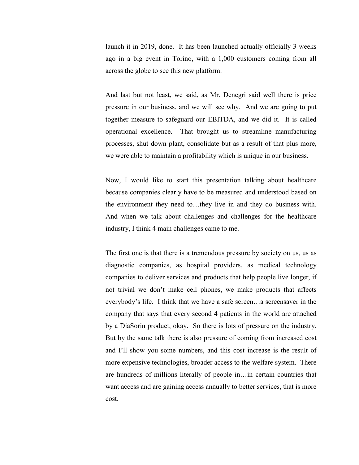launch it in 2019, done. It has been launched actually officially 3 weeks ago in a big event in Torino, with a 1,000 customers coming from all across the globe to see this new platform.

And last but not least, we said, as Mr. Denegri said well there is price pressure in our business, and we will see why. And we are going to put together measure to safeguard our EBITDA, and we did it. It is called operational excellence. That brought us to streamline manufacturing processes, shut down plant, consolidate but as a result of that plus more, we were able to maintain a profitability which is unique in our business.

Now, I would like to start this presentation talking about healthcare because companies clearly have to be measured and understood based on the environment they need to…they live in and they do business with. And when we talk about challenges and challenges for the healthcare industry, I think 4 main challenges came to me.

The first one is that there is a tremendous pressure by society on us, us as diagnostic companies, as hospital providers, as medical technology companies to deliver services and products that help people live longer, if not trivial we don't make cell phones, we make products that affects everybody's life. I think that we have a safe screen…a screensaver in the company that says that every second 4 patients in the world are attached by a DiaSorin product, okay. So there is lots of pressure on the industry. But by the same talk there is also pressure of coming from increased cost and I'll show you some numbers, and this cost increase is the result of more expensive technologies, broader access to the welfare system. There are hundreds of millions literally of people in…in certain countries that want access and are gaining access annually to better services, that is more cost.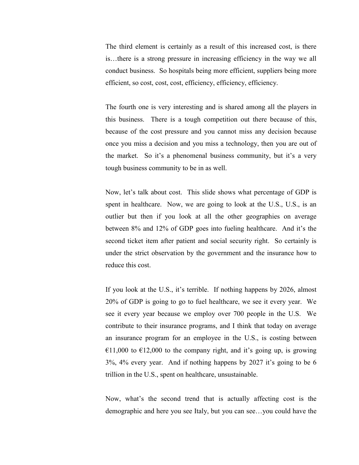The third element is certainly as a result of this increased cost, is there is…there is a strong pressure in increasing efficiency in the way we all conduct business. So hospitals being more efficient, suppliers being more efficient, so cost, cost, cost, efficiency, efficiency, efficiency.

The fourth one is very interesting and is shared among all the players in this business. There is a tough competition out there because of this, because of the cost pressure and you cannot miss any decision because once you miss a decision and you miss a technology, then you are out of the market. So it's a phenomenal business community, but it's a very tough business community to be in as well.

Now, let's talk about cost. This slide shows what percentage of GDP is spent in healthcare. Now, we are going to look at the U.S., U.S., is an outlier but then if you look at all the other geographies on average between 8% and 12% of GDP goes into fueling healthcare. And it's the second ticket item after patient and social security right. So certainly is under the strict observation by the government and the insurance how to reduce this cost.

If you look at the U.S., it's terrible. If nothing happens by 2026, almost 20% of GDP is going to go to fuel healthcare, we see it every year. We see it every year because we employ over 700 people in the U.S. We contribute to their insurance programs, and I think that today on average an insurance program for an employee in the U.S., is costing between  $€11,000$  to  $€12,000$  to the company right, and it's going up, is growing 3%, 4% every year. And if nothing happens by 2027 it's going to be 6 trillion in the U.S., spent on healthcare, unsustainable.

Now, what's the second trend that is actually affecting cost is the demographic and here you see Italy, but you can see…you could have the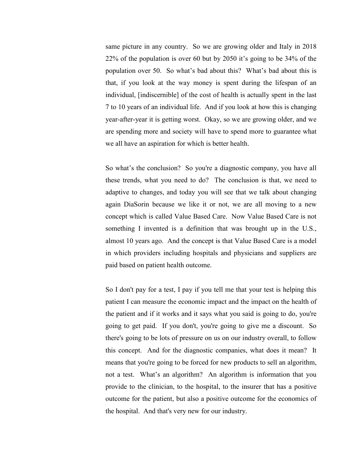same picture in any country. So we are growing older and Italy in 2018 22% of the population is over 60 but by 2050 it's going to be 34% of the population over 50. So what's bad about this? What's bad about this is that, if you look at the way money is spent during the lifespan of an individual, [indiscernible] of the cost of health is actually spent in the last 7 to 10 years of an individual life. And if you look at how this is changing year-after-year it is getting worst. Okay, so we are growing older, and we are spending more and society will have to spend more to guarantee what we all have an aspiration for which is better health.

So what's the conclusion? So you're a diagnostic company, you have all these trends, what you need to do? The conclusion is that, we need to adaptive to changes, and today you will see that we talk about changing again DiaSorin because we like it or not, we are all moving to a new concept which is called Value Based Care. Now Value Based Care is not something I invented is a definition that was brought up in the U.S., almost 10 years ago. And the concept is that Value Based Care is a model in which providers including hospitals and physicians and suppliers are paid based on patient health outcome.

So I don't pay for a test, I pay if you tell me that your test is helping this patient I can measure the economic impact and the impact on the health of the patient and if it works and it says what you said is going to do, you're going to get paid. If you don't, you're going to give me a discount. So there's going to be lots of pressure on us on our industry overall, to follow this concept. And for the diagnostic companies, what does it mean? It means that you're going to be forced for new products to sell an algorithm, not a test. What's an algorithm? An algorithm is information that you provide to the clinician, to the hospital, to the insurer that has a positive outcome for the patient, but also a positive outcome for the economics of the hospital. And that's very new for our industry.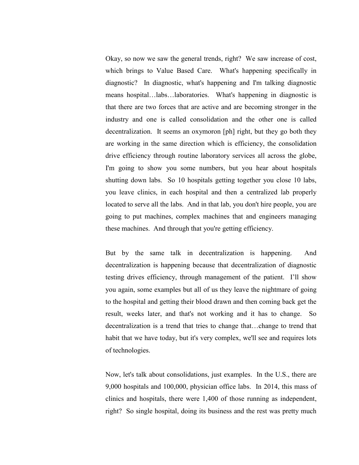Okay, so now we saw the general trends, right? We saw increase of cost, which brings to Value Based Care. What's happening specifically in diagnostic? In diagnostic, what's happening and I'm talking diagnostic means hospital…labs…laboratories. What's happening in diagnostic is that there are two forces that are active and are becoming stronger in the industry and one is called consolidation and the other one is called decentralization. It seems an oxymoron [ph] right, but they go both they are working in the same direction which is efficiency, the consolidation drive efficiency through routine laboratory services all across the globe, I'm going to show you some numbers, but you hear about hospitals shutting down labs. So 10 hospitals getting together you close 10 labs, you leave clinics, in each hospital and then a centralized lab properly located to serve all the labs. And in that lab, you don't hire people, you are going to put machines, complex machines that and engineers managing these machines. And through that you're getting efficiency.

But by the same talk in decentralization is happening. And decentralization is happening because that decentralization of diagnostic testing drives efficiency, through management of the patient. I'll show you again, some examples but all of us they leave the nightmare of going to the hospital and getting their blood drawn and then coming back get the result, weeks later, and that's not working and it has to change. So decentralization is a trend that tries to change that…change to trend that habit that we have today, but it's very complex, we'll see and requires lots of technologies.

Now, let's talk about consolidations, just examples. In the U.S., there are 9,000 hospitals and 100,000, physician office labs. In 2014, this mass of clinics and hospitals, there were 1,400 of those running as independent, right? So single hospital, doing its business and the rest was pretty much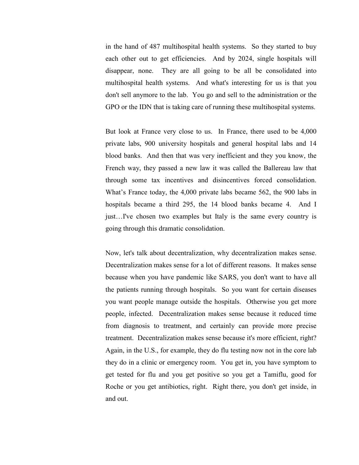in the hand of 487 multihospital health systems. So they started to buy each other out to get efficiencies. And by 2024, single hospitals will disappear, none. They are all going to be all be consolidated into multihospital health systems. And what's interesting for us is that you don't sell anymore to the lab. You go and sell to the administration or the GPO or the IDN that is taking care of running these multihospital systems.

But look at France very close to us. In France, there used to be 4,000 private labs, 900 university hospitals and general hospital labs and 14 blood banks. And then that was very inefficient and they you know, the French way, they passed a new law it was called the Ballereau law that through some tax incentives and disincentives forced consolidation. What's France today, the 4,000 private labs became 562, the 900 labs in hospitals became a third 295, the 14 blood banks became 4. And I just…I've chosen two examples but Italy is the same every country is going through this dramatic consolidation.

Now, let's talk about decentralization, why decentralization makes sense. Decentralization makes sense for a lot of different reasons. It makes sense because when you have pandemic like SARS, you don't want to have all the patients running through hospitals. So you want for certain diseases you want people manage outside the hospitals. Otherwise you get more people, infected. Decentralization makes sense because it reduced time from diagnosis to treatment, and certainly can provide more precise treatment. Decentralization makes sense because it's more efficient, right? Again, in the U.S., for example, they do flu testing now not in the core lab they do in a clinic or emergency room. You get in, you have symptom to get tested for flu and you get positive so you get a Tamiflu, good for Roche or you get antibiotics, right. Right there, you don't get inside, in and out.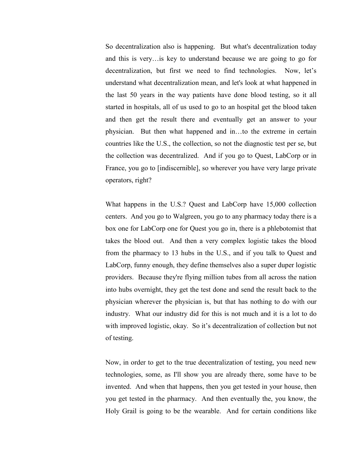So decentralization also is happening. But what's decentralization today and this is very…is key to understand because we are going to go for decentralization, but first we need to find technologies. Now, let's understand what decentralization mean, and let's look at what happened in the last 50 years in the way patients have done blood testing, so it all started in hospitals, all of us used to go to an hospital get the blood taken and then get the result there and eventually get an answer to your physician. But then what happened and in…to the extreme in certain countries like the U.S., the collection, so not the diagnostic test per se, but the collection was decentralized. And if you go to Quest, LabCorp or in France, you go to [indiscernible], so wherever you have very large private operators, right?

What happens in the U.S.? Quest and LabCorp have 15,000 collection centers. And you go to Walgreen, you go to any pharmacy today there is a box one for LabCorp one for Quest you go in, there is a phlebotomist that takes the blood out. And then a very complex logistic takes the blood from the pharmacy to 13 hubs in the U.S., and if you talk to Quest and LabCorp, funny enough, they define themselves also a super duper logistic providers. Because they're flying million tubes from all across the nation into hubs overnight, they get the test done and send the result back to the physician wherever the physician is, but that has nothing to do with our industry. What our industry did for this is not much and it is a lot to do with improved logistic, okay. So it's decentralization of collection but not of testing.

Now, in order to get to the true decentralization of testing, you need new technologies, some, as I'll show you are already there, some have to be invented. And when that happens, then you get tested in your house, then you get tested in the pharmacy. And then eventually the, you know, the Holy Grail is going to be the wearable. And for certain conditions like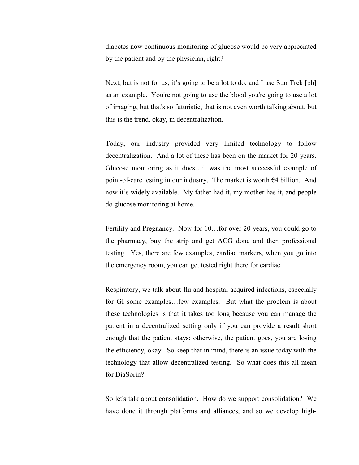diabetes now continuous monitoring of glucose would be very appreciated by the patient and by the physician, right?

Next, but is not for us, it's going to be a lot to do, and I use Star Trek [ph] as an example. You're not going to use the blood you're going to use a lot of imaging, but that's so futuristic, that is not even worth talking about, but this is the trend, okay, in decentralization.

Today, our industry provided very limited technology to follow decentralization. And a lot of these has been on the market for 20 years. Glucose monitoring as it does…it was the most successful example of point-of-care testing in our industry. The market is worth  $64$  billion. And now it's widely available. My father had it, my mother has it, and people do glucose monitoring at home.

Fertility and Pregnancy. Now for 10…for over 20 years, you could go to the pharmacy, buy the strip and get ACG done and then professional testing. Yes, there are few examples, cardiac markers, when you go into the emergency room, you can get tested right there for cardiac.

Respiratory, we talk about flu and hospital-acquired infections, especially for GI some examples…few examples. But what the problem is about these technologies is that it takes too long because you can manage the patient in a decentralized setting only if you can provide a result short enough that the patient stays; otherwise, the patient goes, you are losing the efficiency, okay. So keep that in mind, there is an issue today with the technology that allow decentralized testing. So what does this all mean for DiaSorin?

So let's talk about consolidation. How do we support consolidation? We have done it through platforms and alliances, and so we develop high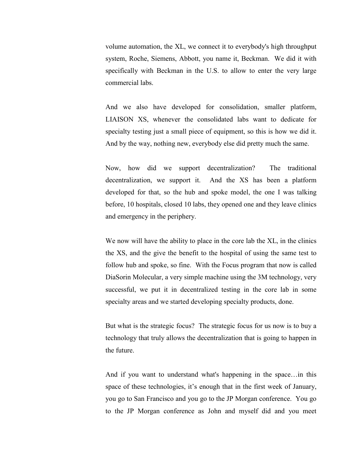volume automation, the XL, we connect it to everybody's high throughput system, Roche, Siemens, Abbott, you name it, Beckman. We did it with specifically with Beckman in the U.S. to allow to enter the very large commercial labs.

And we also have developed for consolidation, smaller platform, LIAISON XS, whenever the consolidated labs want to dedicate for specialty testing just a small piece of equipment, so this is how we did it. And by the way, nothing new, everybody else did pretty much the same.

Now, how did we support decentralization? The traditional decentralization, we support it. And the XS has been a platform developed for that, so the hub and spoke model, the one I was talking before, 10 hospitals, closed 10 labs, they opened one and they leave clinics and emergency in the periphery.

We now will have the ability to place in the core lab the XL, in the clinics the XS, and the give the benefit to the hospital of using the same test to follow hub and spoke, so fine. With the Focus program that now is called DiaSorin Molecular, a very simple machine using the 3M technology, very successful, we put it in decentralized testing in the core lab in some specialty areas and we started developing specialty products, done.

But what is the strategic focus? The strategic focus for us now is to buy a technology that truly allows the decentralization that is going to happen in the future.

And if you want to understand what's happening in the space…in this space of these technologies, it's enough that in the first week of January, you go to San Francisco and you go to the JP Morgan conference. You go to the JP Morgan conference as John and myself did and you meet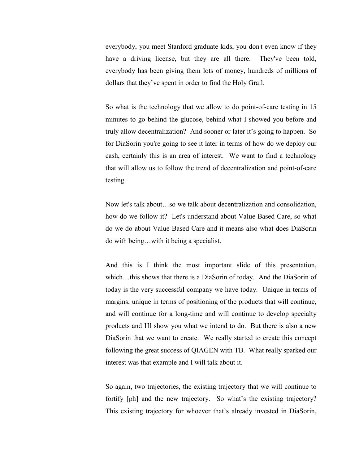everybody, you meet Stanford graduate kids, you don't even know if they have a driving license, but they are all there. They've been told, everybody has been giving them lots of money, hundreds of millions of dollars that they've spent in order to find the Holy Grail.

So what is the technology that we allow to do point-of-care testing in 15 minutes to go behind the glucose, behind what I showed you before and truly allow decentralization? And sooner or later it's going to happen. So for DiaSorin you're going to see it later in terms of how do we deploy our cash, certainly this is an area of interest. We want to find a technology that will allow us to follow the trend of decentralization and point-of-care testing.

Now let's talk about…so we talk about decentralization and consolidation, how do we follow it? Let's understand about Value Based Care, so what do we do about Value Based Care and it means also what does DiaSorin do with being…with it being a specialist.

And this is I think the most important slide of this presentation, which…this shows that there is a DiaSorin of today. And the DiaSorin of today is the very successful company we have today. Unique in terms of margins, unique in terms of positioning of the products that will continue, and will continue for a long-time and will continue to develop specialty products and I'll show you what we intend to do. But there is also a new DiaSorin that we want to create. We really started to create this concept following the great success of QIAGEN with TB. What really sparked our interest was that example and I will talk about it.

So again, two trajectories, the existing trajectory that we will continue to fortify [ph] and the new trajectory. So what's the existing trajectory? This existing trajectory for whoever that's already invested in DiaSorin,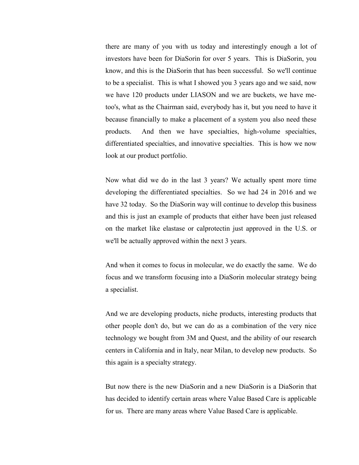there are many of you with us today and interestingly enough a lot of investors have been for DiaSorin for over 5 years. This is DiaSorin, you know, and this is the DiaSorin that has been successful. So we'll continue to be a specialist. This is what I showed you 3 years ago and we said, now we have 120 products under LIASON and we are buckets, we have metoo's, what as the Chairman said, everybody has it, but you need to have it because financially to make a placement of a system you also need these products. And then we have specialties, high-volume specialties, differentiated specialties, and innovative specialties. This is how we now look at our product portfolio.

Now what did we do in the last 3 years? We actually spent more time developing the differentiated specialties. So we had 24 in 2016 and we have 32 today. So the DiaSorin way will continue to develop this business and this is just an example of products that either have been just released on the market like elastase or calprotectin just approved in the U.S. or we'll be actually approved within the next 3 years.

And when it comes to focus in molecular, we do exactly the same. We do focus and we transform focusing into a DiaSorin molecular strategy being a specialist.

And we are developing products, niche products, interesting products that other people don't do, but we can do as a combination of the very nice technology we bought from 3M and Quest, and the ability of our research centers in California and in Italy, near Milan, to develop new products. So this again is a specialty strategy.

But now there is the new DiaSorin and a new DiaSorin is a DiaSorin that has decided to identify certain areas where Value Based Care is applicable for us. There are many areas where Value Based Care is applicable.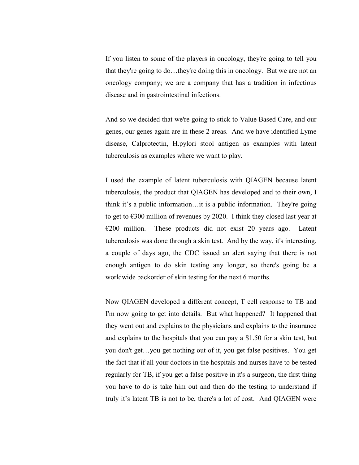If you listen to some of the players in oncology, they're going to tell you that they're going to do…they're doing this in oncology. But we are not an oncology company; we are a company that has a tradition in infectious disease and in gastrointestinal infections.

And so we decided that we're going to stick to Value Based Care, and our genes, our genes again are in these 2 areas. And we have identified Lyme disease, Calprotectin, H.pylori stool antigen as examples with latent tuberculosis as examples where we want to play.

I used the example of latent tuberculosis with QIAGEN because latent tuberculosis, the product that QIAGEN has developed and to their own, I think it's a public information…it is a public information. They're going to get to  $\epsilon$ 300 million of revenues by 2020. I think they closed last year at  $E200$  million. These products did not exist 20 years ago. Latent tuberculosis was done through a skin test. And by the way, it's interesting, a couple of days ago, the CDC issued an alert saying that there is not enough antigen to do skin testing any longer, so there's going be a worldwide backorder of skin testing for the next 6 months.

Now QIAGEN developed a different concept, T cell response to TB and I'm now going to get into details. But what happened? It happened that they went out and explains to the physicians and explains to the insurance and explains to the hospitals that you can pay a \$1.50 for a skin test, but you don't get…you get nothing out of it, you get false positives. You get the fact that if all your doctors in the hospitals and nurses have to be tested regularly for TB, if you get a false positive in it's a surgeon, the first thing you have to do is take him out and then do the testing to understand if truly it's latent TB is not to be, there's a lot of cost. And QIAGEN were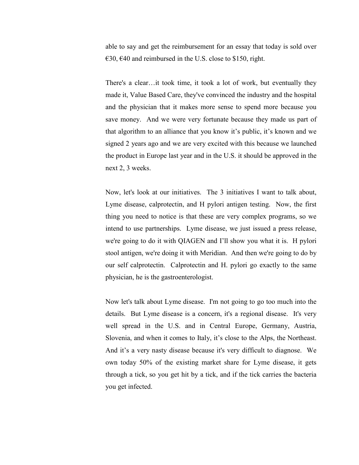able to say and get the reimbursement for an essay that today is sold over €30,  $€40$  and reimbursed in the U.S. close to \$150, right.

There's a clear…it took time, it took a lot of work, but eventually they made it, Value Based Care, they've convinced the industry and the hospital and the physician that it makes more sense to spend more because you save money. And we were very fortunate because they made us part of that algorithm to an alliance that you know it's public, it's known and we signed 2 years ago and we are very excited with this because we launched the product in Europe last year and in the U.S. it should be approved in the next 2, 3 weeks.

Now, let's look at our initiatives. The 3 initiatives I want to talk about, Lyme disease, calprotectin, and H pylori antigen testing. Now, the first thing you need to notice is that these are very complex programs, so we intend to use partnerships. Lyme disease, we just issued a press release, we're going to do it with QIAGEN and I'll show you what it is. H pylori stool antigen, we're doing it with Meridian. And then we're going to do by our self calprotectin. Calprotectin and H. pylori go exactly to the same physician, he is the gastroenterologist.

Now let's talk about Lyme disease. I'm not going to go too much into the details. But Lyme disease is a concern, it's a regional disease. It's very well spread in the U.S. and in Central Europe, Germany, Austria, Slovenia, and when it comes to Italy, it's close to the Alps, the Northeast. And it's a very nasty disease because it's very difficult to diagnose. We own today 50% of the existing market share for Lyme disease, it gets through a tick, so you get hit by a tick, and if the tick carries the bacteria you get infected.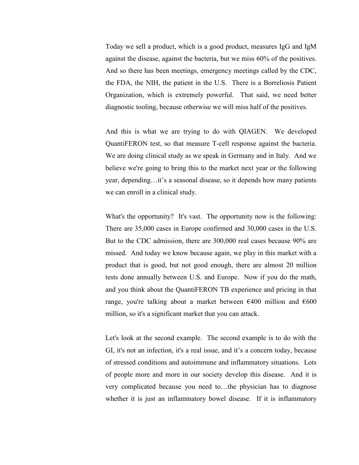Today we sell a product, which is a good product, measures IgG and IgM against the disease, against the bacteria, but we miss 60% of the positives. And so there has been meetings, emergency meetings called by the CDC, the FDA, the NIH, the patient in the U.S. There is a Borreliosis Patient Organization, which is extremely powerful. That said, we need better diagnostic tooling, because otherwise we will miss half of the positives.

And this is what we are trying to do with QIAGEN. We developed QuantiFERON test, so that measure T-cell response against the bacteria. We are doing clinical study as we speak in Germany and in Italy. And we believe we're going to bring this to the market next year or the following year, depending…it's a seasonal disease, so it depends how many patients we can enroll in a clinical study.

What's the opportunity? It's vast. The opportunity now is the following: There are 35,000 cases in Europe confirmed and 30,000 cases in the U.S. But to the CDC admission, there are 300,000 real cases because 90% are missed. And today we know because again, we play in this market with a product that is good, but not good enough, there are almost 20 million tests done annually between U.S. and Europe. Now if you do the math, and you think about the QuantiFERON TB experience and pricing in that range, you're talking about a market between  $\epsilon$ 400 million and  $\epsilon$ 600 million, so it's a significant market that you can attack.

Let's look at the second example. The second example is to do with the GI, it's not an infection, it's a real issue, and it's a concern today, because of stressed conditions and autoimmune and inflammatory situations. Lots of people more and more in our society develop this disease. And it is very complicated because you need to…the physician has to diagnose whether it is just an inflammatory bowel disease. If it is inflammatory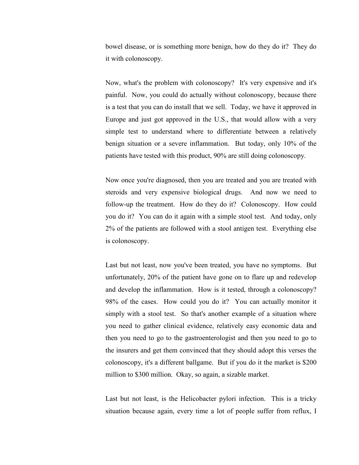bowel disease, or is something more benign, how do they do it? They do it with colonoscopy.

Now, what's the problem with colonoscopy? It's very expensive and it's painful. Now, you could do actually without colonoscopy, because there is a test that you can do install that we sell. Today, we have it approved in Europe and just got approved in the U.S., that would allow with a very simple test to understand where to differentiate between a relatively benign situation or a severe inflammation. But today, only 10% of the patients have tested with this product, 90% are still doing colonoscopy.

Now once you're diagnosed, then you are treated and you are treated with steroids and very expensive biological drugs. And now we need to follow-up the treatment. How do they do it? Colonoscopy. How could you do it? You can do it again with a simple stool test. And today, only 2% of the patients are followed with a stool antigen test. Everything else is colonoscopy.

Last but not least, now you've been treated, you have no symptoms. But unfortunately, 20% of the patient have gone on to flare up and redevelop and develop the inflammation. How is it tested, through a colonoscopy? 98% of the cases. How could you do it? You can actually monitor it simply with a stool test. So that's another example of a situation where you need to gather clinical evidence, relatively easy economic data and then you need to go to the gastroenterologist and then you need to go to the insurers and get them convinced that they should adopt this verses the colonoscopy, it's a different ballgame. But if you do it the market is \$200 million to \$300 million. Okay, so again, a sizable market.

Last but not least, is the Helicobacter pylori infection. This is a tricky situation because again, every time a lot of people suffer from reflux, I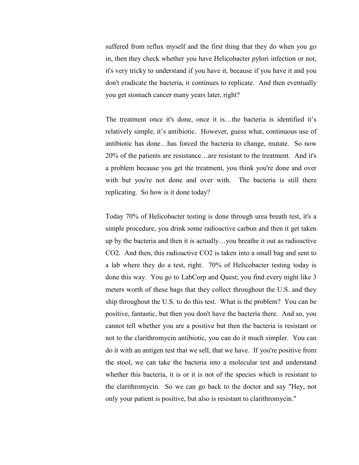suffered from reflux myself and the first thing that they do when you go in, then they check whether you have Helicobacter pylori infection or not, it's very tricky to understand if you have it, because if you have it and you don't eradicate the bacteria, it continues to replicate. And then eventually you get stomach cancer many years later, right?

The treatment once it's done, once it is…the bacteria is identified it's relatively simple, it's antibiotic. However, guess what, continuous use of antibiotic has done…has forced the bacteria to change, mutate. So now 20% of the patients are resistance…are resistant to the treatment. And it's a problem because you get the treatment, you think you're done and over with but you're not done and over with. The bacteria is still there replicating. So how is it done today?

Today 70% of Helicobacter testing is done through urea breath test, it's a simple procedure, you drink some radioactive carbon and then it get taken up by the bacteria and then it is actually…you breathe it out as radioactive CO2. And then, this radioactive CO2 is taken into a small bag and sent to a lab where they do a test, right. 70% of Helicobacter testing today is done this way. You go to LabCorp and Quest; you find every night like 3 meters worth of these bags that they collect throughout the U.S. and they ship throughout the U.S. to do this test. What is the problem? You can be positive, fantastic, but then you don't have the bacteria there. And so, you cannot tell whether you are a positive but then the bacteria is resistant or not to the clarithromycin antibiotic, you can do it much simpler. You can do it with an antigen test that we sell, that we have. If you're positive from the stool, we can take the bacteria into a molecular test and understand whether this bacteria, it is or it is not of the species which is resistant to the clarithromycin. So we can go back to the doctor and say "Hey, not only your patient is positive, but also is resistant to clarithromycin."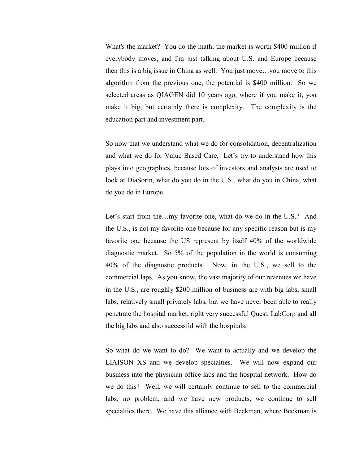What's the market? You do the math; the market is worth \$400 million if everybody moves, and I'm just talking about U.S. and Europe because then this is a big issue in China as well. You just move…you move to this algorithm from the previous one, the potential is \$400 million. So we selected areas as QIAGEN did 10 years ago, where if you make it, you make it big, but certainly there is complexity. The complexity is the education part and investment part.

So now that we understand what we do for consolidation, decentralization and what we do for Value Based Care. Let's try to understand how this plays into geographies, because lots of investors and analysts are used to look at DiaSorin, what do you do in the U.S., what do you in China, what do you do in Europe.

Let's start from the...my favorite one, what do we do in the U.S.? And the U.S., is not my favorite one because for any specific reason but is my favorite one because the US represent by itself 40% of the worldwide diagnostic market. So 5% of the population in the world is consuming 40% of the diagnostic products. Now, in the U.S., we sell to the commercial laps. As you know, the vast majority of our revenues we have in the U.S., are roughly \$200 million of business are with big labs, small labs, relatively small privately labs, but we have never been able to really penetrate the hospital market, right very successful Quest, LabCorp and all the big labs and also successful with the hospitals.

So what do we want to do? We want to actually and we develop the LIAISON XS and we develop specialties. We will now expand our business into the physician office labs and the hospital network. How do we do this? Well, we will certainly continue to sell to the commercial labs, no problem, and we have new products, we continue to sell specialties there. We have this alliance with Beckman, where Beckman is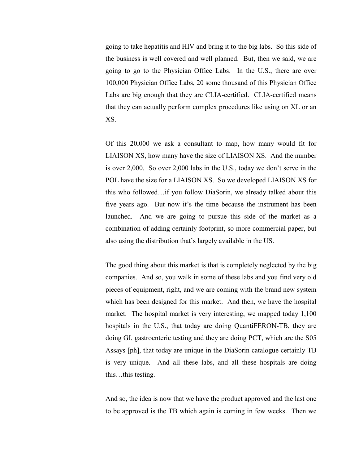going to take hepatitis and HIV and bring it to the big labs. So this side of the business is well covered and well planned. But, then we said, we are going to go to the Physician Office Labs. In the U.S., there are over 100,000 Physician Office Labs, 20 some thousand of this Physician Office Labs are big enough that they are CLIA-certified. CLIA-certified means that they can actually perform complex procedures like using on XL or an XS.

Of this 20,000 we ask a consultant to map, how many would fit for LIAISON XS, how many have the size of LIAISON XS. And the number is over 2,000. So over 2,000 labs in the U.S., today we don't serve in the POL have the size for a LIAISON XS. So we developed LIAISON XS for this who followed…if you follow DiaSorin, we already talked about this five years ago. But now it's the time because the instrument has been launched. And we are going to pursue this side of the market as a combination of adding certainly footprint, so more commercial paper, but also using the distribution that's largely available in the US.

The good thing about this market is that is completely neglected by the big companies. And so, you walk in some of these labs and you find very old pieces of equipment, right, and we are coming with the brand new system which has been designed for this market. And then, we have the hospital market. The hospital market is very interesting, we mapped today 1,100 hospitals in the U.S., that today are doing QuantiFERON-TB, they are doing GI, gastroenteric testing and they are doing PCT, which are the S05 Assays [ph], that today are unique in the DiaSorin catalogue certainly TB is very unique. And all these labs, and all these hospitals are doing this…this testing.

And so, the idea is now that we have the product approved and the last one to be approved is the TB which again is coming in few weeks. Then we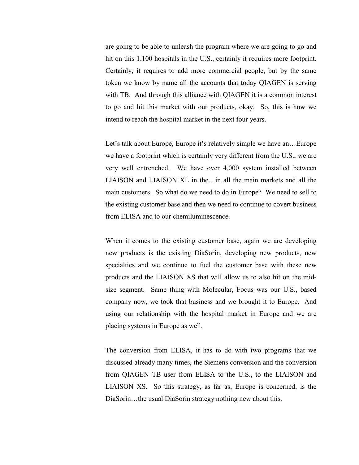are going to be able to unleash the program where we are going to go and hit on this 1,100 hospitals in the U.S., certainly it requires more footprint. Certainly, it requires to add more commercial people, but by the same token we know by name all the accounts that today QIAGEN is serving with TB. And through this alliance with QIAGEN it is a common interest to go and hit this market with our products, okay. So, this is how we intend to reach the hospital market in the next four years.

Let's talk about Europe, Europe it's relatively simple we have an...Europe we have a footprint which is certainly very different from the U.S., we are very well entrenched. We have over 4,000 system installed between LIAISON and LIAISON XL in the…in all the main markets and all the main customers. So what do we need to do in Europe? We need to sell to the existing customer base and then we need to continue to covert business from ELISA and to our chemiluminescence.

When it comes to the existing customer base, again we are developing new products is the existing DiaSorin, developing new products, new specialties and we continue to fuel the customer base with these new products and the LIAISON XS that will allow us to also hit on the midsize segment. Same thing with Molecular, Focus was our U.S., based company now, we took that business and we brought it to Europe. And using our relationship with the hospital market in Europe and we are placing systems in Europe as well.

The conversion from ELISA, it has to do with two programs that we discussed already many times, the Siemens conversion and the conversion from QIAGEN TB user from ELISA to the U.S., to the LIAISON and LIAISON XS. So this strategy, as far as, Europe is concerned, is the DiaSorin…the usual DiaSorin strategy nothing new about this.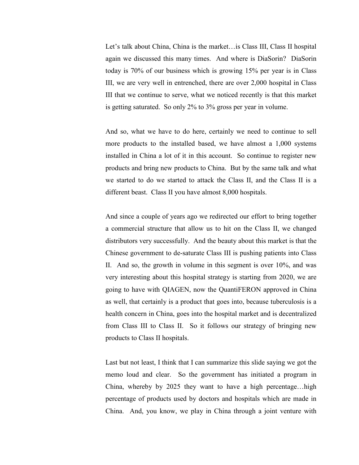Let's talk about China, China is the market…is Class III, Class II hospital again we discussed this many times. And where is DiaSorin? DiaSorin today is 70% of our business which is growing 15% per year is in Class III, we are very well in entrenched, there are over 2,000 hospital in Class III that we continue to serve, what we noticed recently is that this market is getting saturated. So only 2% to 3% gross per year in volume.

And so, what we have to do here, certainly we need to continue to sell more products to the installed based, we have almost a 1,000 systems installed in China a lot of it in this account. So continue to register new products and bring new products to China. But by the same talk and what we started to do we started to attack the Class II, and the Class II is a different beast. Class II you have almost 8,000 hospitals.

And since a couple of years ago we redirected our effort to bring together a commercial structure that allow us to hit on the Class II, we changed distributors very successfully. And the beauty about this market is that the Chinese government to de-saturate Class III is pushing patients into Class II. And so, the growth in volume in this segment is over 10%, and was very interesting about this hospital strategy is starting from 2020, we are going to have with QIAGEN, now the QuantiFERON approved in China as well, that certainly is a product that goes into, because tuberculosis is a health concern in China, goes into the hospital market and is decentralized from Class III to Class II. So it follows our strategy of bringing new products to Class II hospitals.

Last but not least, I think that I can summarize this slide saying we got the memo loud and clear. So the government has initiated a program in China, whereby by 2025 they want to have a high percentage…high percentage of products used by doctors and hospitals which are made in China. And, you know, we play in China through a joint venture with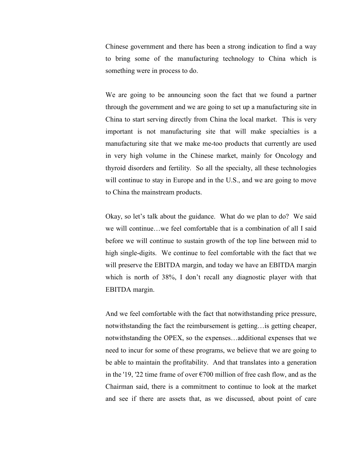Chinese government and there has been a strong indication to find a way to bring some of the manufacturing technology to China which is something were in process to do.

We are going to be announcing soon the fact that we found a partner through the government and we are going to set up a manufacturing site in China to start serving directly from China the local market. This is very important is not manufacturing site that will make specialties is a manufacturing site that we make me-too products that currently are used in very high volume in the Chinese market, mainly for Oncology and thyroid disorders and fertility. So all the specialty, all these technologies will continue to stay in Europe and in the U.S., and we are going to move to China the mainstream products.

Okay, so let's talk about the guidance. What do we plan to do? We said we will continue…we feel comfortable that is a combination of all I said before we will continue to sustain growth of the top line between mid to high single-digits. We continue to feel comfortable with the fact that we will preserve the EBITDA margin, and today we have an EBITDA margin which is north of 38%, I don't recall any diagnostic player with that EBITDA margin.

And we feel comfortable with the fact that notwithstanding price pressure, notwithstanding the fact the reimbursement is getting…is getting cheaper, notwithstanding the OPEX, so the expenses…additional expenses that we need to incur for some of these programs, we believe that we are going to be able to maintain the profitability. And that translates into a generation in the '19, '22 time frame of over  $\epsilon$ 700 million of free cash flow, and as the Chairman said, there is a commitment to continue to look at the market and see if there are assets that, as we discussed, about point of care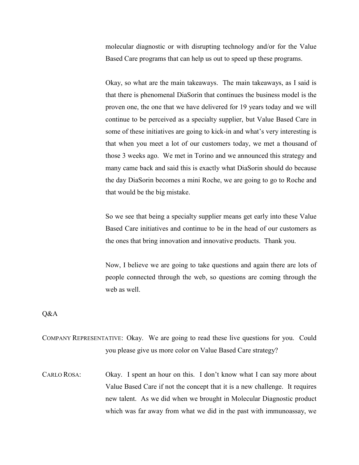molecular diagnostic or with disrupting technology and/or for the Value Based Care programs that can help us out to speed up these programs.

Okay, so what are the main takeaways. The main takeaways, as I said is that there is phenomenal DiaSorin that continues the business model is the proven one, the one that we have delivered for 19 years today and we will continue to be perceived as a specialty supplier, but Value Based Care in some of these initiatives are going to kick-in and what's very interesting is that when you meet a lot of our customers today, we met a thousand of those 3 weeks ago. We met in Torino and we announced this strategy and many came back and said this is exactly what DiaSorin should do because the day DiaSorin becomes a mini Roche, we are going to go to Roche and that would be the big mistake.

So we see that being a specialty supplier means get early into these Value Based Care initiatives and continue to be in the head of our customers as the ones that bring innovation and innovative products. Thank you.

Now, I believe we are going to take questions and again there are lots of people connected through the web, so questions are coming through the web as well.

Q&A

COMPANY REPRESENTATIVE: Okay. We are going to read these live questions for you. Could you please give us more color on Value Based Care strategy?

CARLO ROSA: Okay. I spent an hour on this. I don't know what I can say more about Value Based Care if not the concept that it is a new challenge. It requires new talent. As we did when we brought in Molecular Diagnostic product which was far away from what we did in the past with immunoassay, we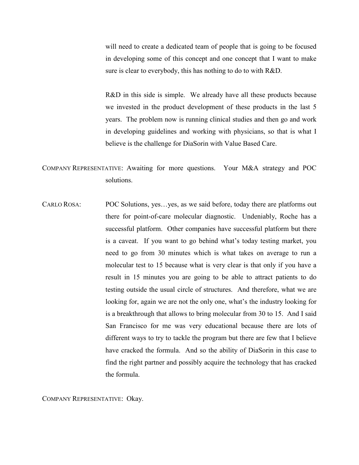will need to create a dedicated team of people that is going to be focused in developing some of this concept and one concept that I want to make sure is clear to everybody, this has nothing to do to with R&D.

R&D in this side is simple. We already have all these products because we invested in the product development of these products in the last 5 years. The problem now is running clinical studies and then go and work in developing guidelines and working with physicians, so that is what I believe is the challenge for DiaSorin with Value Based Care.

COMPANY REPRESENTATIVE: Awaiting for more questions. Your M&A strategy and POC solutions.

CARLO ROSA: POC Solutions, yes…yes, as we said before, today there are platforms out there for point-of-care molecular diagnostic. Undeniably, Roche has a successful platform. Other companies have successful platform but there is a caveat. If you want to go behind what's today testing market, you need to go from 30 minutes which is what takes on average to run a molecular test to 15 because what is very clear is that only if you have a result in 15 minutes you are going to be able to attract patients to do testing outside the usual circle of structures. And therefore, what we are looking for, again we are not the only one, what's the industry looking for is a breakthrough that allows to bring molecular from 30 to 15. And I said San Francisco for me was very educational because there are lots of different ways to try to tackle the program but there are few that I believe have cracked the formula. And so the ability of DiaSorin in this case to find the right partner and possibly acquire the technology that has cracked the formula.

COMPANY REPRESENTATIVE: Okay.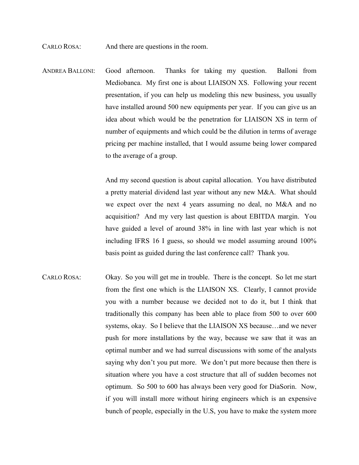CARLO ROSA: And there are questions in the room.

ANDREA BALLONI: Good afternoon. Thanks for taking my question. Balloni from Mediobanca. My first one is about LIAISON XS. Following your recent presentation, if you can help us modeling this new business, you usually have installed around 500 new equipments per year. If you can give us an idea about which would be the penetration for LIAISON XS in term of number of equipments and which could be the dilution in terms of average pricing per machine installed, that I would assume being lower compared to the average of a group.

> And my second question is about capital allocation. You have distributed a pretty material dividend last year without any new M&A. What should we expect over the next 4 years assuming no deal, no M&A and no acquisition? And my very last question is about EBITDA margin. You have guided a level of around 38% in line with last year which is not including IFRS 16 I guess, so should we model assuming around 100% basis point as guided during the last conference call? Thank you.

CARLO ROSA: Okay. So you will get me in trouble. There is the concept. So let me start from the first one which is the LIAISON XS. Clearly, I cannot provide you with a number because we decided not to do it, but I think that traditionally this company has been able to place from 500 to over 600 systems, okay. So I believe that the LIAISON XS because…and we never push for more installations by the way, because we saw that it was an optimal number and we had surreal discussions with some of the analysts saying why don't you put more. We don't put more because then there is situation where you have a cost structure that all of sudden becomes not optimum. So 500 to 600 has always been very good for DiaSorin. Now, if you will install more without hiring engineers which is an expensive bunch of people, especially in the U.S, you have to make the system more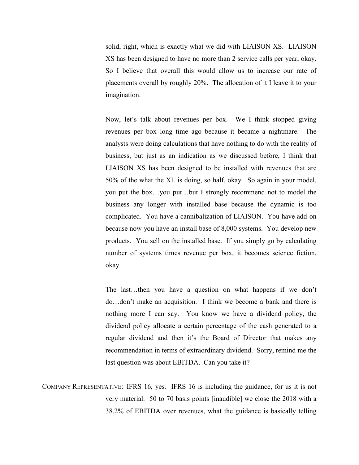solid, right, which is exactly what we did with LIAISON XS. LIAISON XS has been designed to have no more than 2 service calls per year, okay. So I believe that overall this would allow us to increase our rate of placements overall by roughly 20%. The allocation of it I leave it to your imagination.

Now, let's talk about revenues per box. We I think stopped giving revenues per box long time ago because it became a nightmare. The analysts were doing calculations that have nothing to do with the reality of business, but just as an indication as we discussed before, I think that LIAISON XS has been designed to be installed with revenues that are 50% of the what the XL is doing, so half, okay. So again in your model, you put the box…you put…but I strongly recommend not to model the business any longer with installed base because the dynamic is too complicated. You have a cannibalization of LIAISON. You have add-on because now you have an install base of 8,000 systems. You develop new products. You sell on the installed base. If you simply go by calculating number of systems times revenue per box, it becomes science fiction, okay.

The last…then you have a question on what happens if we don't do…don't make an acquisition. I think we become a bank and there is nothing more I can say. You know we have a dividend policy, the dividend policy allocate a certain percentage of the cash generated to a regular dividend and then it's the Board of Director that makes any recommendation in terms of extraordinary dividend. Sorry, remind me the last question was about EBITDA. Can you take it?

COMPANY REPRESENTATIVE: IFRS 16, yes. IFRS 16 is including the guidance, for us it is not very material. 50 to 70 basis points [inaudible] we close the 2018 with a 38.2% of EBITDA over revenues, what the guidance is basically telling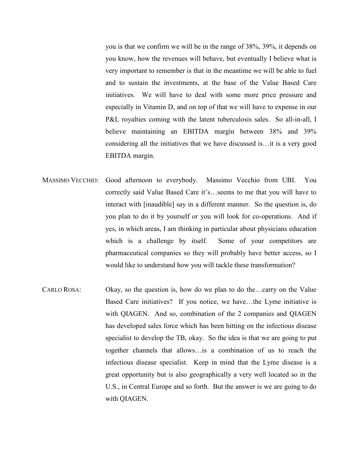you is that we confirm we will be in the range of 38%, 39%, it depends on you know, how the revenues will behave, but eventually I believe what is very important to remember is that in the meantime we will be able to fuel and to sustain the investments, at the base of the Value Based Care initiatives. We will have to deal with some more price pressure and especially in Vitamin D, and on top of that we will have to expense in our P&L royalties coming with the latent tuberculosis sales. So all-in-all, I believe maintaining an EBITDA margin between 38% and 39% considering all the initiatives that we have discussed is…it is a very good EBITDA margin.

- MASSIMO VECCHIO: Good afternoon to everybody. Massimo Vecchio from UBI. You correctly said Value Based Care it's…seems to me that you will have to interact with [inaudible] say in a different manner. So the question is, do you plan to do it by yourself or you will look for co-operations. And if yes, in which areas, I am thinking in particular about physicians education which is a challenge by itself. Some of your competitors are pharmaceutical companies so they will probably have better access, so I would like to understand how you will tackle these transformation?
- CARLO ROSA: Okay, so the question is, how do we plan to do the…carry on the Value Based Care initiatives? If you notice, we have…the Lyme initiative is with QIAGEN. And so, combination of the 2 companies and QIAGEN has developed sales force which has been hitting on the infectious disease specialist to develop the TB, okay. So the idea is that we are going to put together channels that allows…is a combination of us to reach the infectious disease specialist. Keep in mind that the Lyme disease is a great opportunity but is also geographically a very well located so in the U.S., in Central Europe and so forth. But the answer is we are going to do with QIAGEN.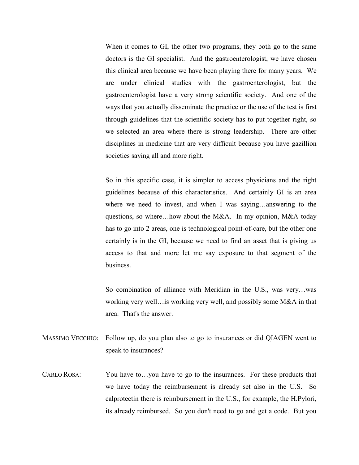When it comes to GI, the other two programs, they both go to the same doctors is the GI specialist. And the gastroenterologist, we have chosen this clinical area because we have been playing there for many years. We are under clinical studies with the gastroenterologist, but the gastroenterologist have a very strong scientific society. And one of the ways that you actually disseminate the practice or the use of the test is first through guidelines that the scientific society has to put together right, so we selected an area where there is strong leadership. There are other disciplines in medicine that are very difficult because you have gazillion societies saying all and more right.

So in this specific case, it is simpler to access physicians and the right guidelines because of this characteristics. And certainly GI is an area where we need to invest, and when I was saying…answering to the questions, so where…how about the M&A. In my opinion, M&A today has to go into 2 areas, one is technological point-of-care, but the other one certainly is in the GI, because we need to find an asset that is giving us access to that and more let me say exposure to that segment of the business.

So combination of alliance with Meridian in the U.S., was very…was working very well…is working very well, and possibly some M&A in that area. That's the answer.

- MASSIMO VECCHIO: Follow up, do you plan also to go to insurances or did QIAGEN went to speak to insurances?
- CARLO ROSA: You have to…you have to go to the insurances. For these products that we have today the reimbursement is already set also in the U.S. So calprotectin there is reimbursement in the U.S., for example, the H.Pylori, its already reimbursed. So you don't need to go and get a code. But you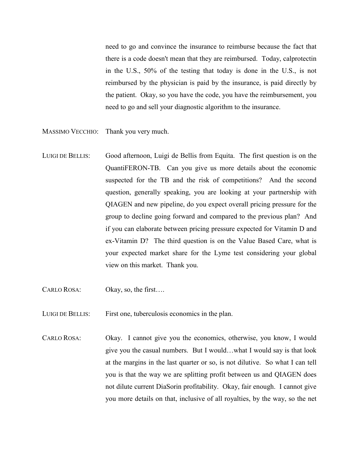need to go and convince the insurance to reimburse because the fact that there is a code doesn't mean that they are reimbursed. Today, calprotectin in the U.S., 50% of the testing that today is done in the U.S., is not reimbursed by the physician is paid by the insurance, is paid directly by the patient. Okay, so you have the code, you have the reimbursement, you need to go and sell your diagnostic algorithm to the insurance.

- MASSIMO VECCHIO: Thank you very much.
- LUIGI DE BELLIS: Good afternoon, Luigi de Bellis from Equita. The first question is on the QuantiFERON-TB. Can you give us more details about the economic suspected for the TB and the risk of competitions? And the second question, generally speaking, you are looking at your partnership with QIAGEN and new pipeline, do you expect overall pricing pressure for the group to decline going forward and compared to the previous plan? And if you can elaborate between pricing pressure expected for Vitamin D and ex-Vitamin D? The third question is on the Value Based Care, what is your expected market share for the Lyme test considering your global view on this market. Thank you.
- CARLO ROSA: Okay, so, the first….
- LUIGI DE BELLIS: First one, tuberculosis economics in the plan.
- CARLO ROSA: Okay. I cannot give you the economics, otherwise, you know, I would give you the casual numbers. But I would…what I would say is that look at the margins in the last quarter or so, is not dilutive. So what I can tell you is that the way we are splitting profit between us and QIAGEN does not dilute current DiaSorin profitability. Okay, fair enough. I cannot give you more details on that, inclusive of all royalties, by the way, so the net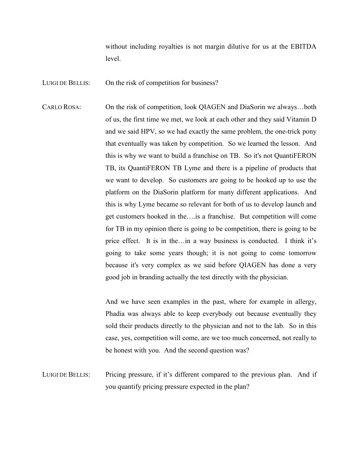without including royalties is not margin dilutive for us at the EBITDA level.

LUIGI DE BELLIS: On the risk of competition for business?

CARLO ROSA: On the risk of competition, look QIAGEN and DiaSorin we always…both of us, the first time we met, we look at each other and they said Vitamin D and we said HPV, so we had exactly the same problem, the one-trick pony that eventually was taken by competition. So we learned the lesson. And this is why we want to build a franchise on TB. So it's not QuantiFERON TB, its QuantiFERON TB Lyme and there is a pipeline of products that we want to develop. So customers are going to be hooked up to use the platform on the DiaSorin platform for many different applications. And this is why Lyme became so relevant for both of us to develop launch and get customers hooked in the….is a franchise. But competition will come for TB in my opinion there is going to be competition, there is going to be price effect. It is in the…in a way business is conducted. I think it's going to take some years though; it is not going to come tomorrow because it's very complex as we said before QIAGEN has done a very good job in branding actually the test directly with the physician.

> And we have seen examples in the past, where for example in allergy, Phadia was always able to keep everybody out because eventually they sold their products directly to the physician and not to the lab. So in this case, yes, competition will come, are we too much concerned, not really to be honest with you. And the second question was?

LUIGI DE BELLIS: Pricing pressure, if it's different compared to the previous plan. And if you quantify pricing pressure expected in the plan?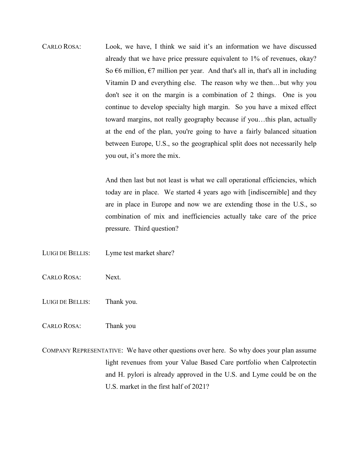CARLO ROSA: Look, we have, I think we said it's an information we have discussed already that we have price pressure equivalent to 1% of revenues, okay? So  $\epsilon$ 6 million,  $\epsilon$ 7 million per year. And that's all in, that's all in including Vitamin D and everything else. The reason why we then…but why you don't see it on the margin is a combination of 2 things. One is you continue to develop specialty high margin. So you have a mixed effect toward margins, not really geography because if you…this plan, actually at the end of the plan, you're going to have a fairly balanced situation between Europe, U.S., so the geographical split does not necessarily help you out, it's more the mix.

> And then last but not least is what we call operational efficiencies, which today are in place. We started 4 years ago with [indiscernible] and they are in place in Europe and now we are extending those in the U.S., so combination of mix and inefficiencies actually take care of the price pressure. Third question?

- LUIGI DE BELLIS: Lyme test market share?
- CARLO ROSA: Next.
- LUIGI DE BELLIS: Thank you.
- CARLO ROSA: Thank you
- COMPANY REPRESENTATIVE: We have other questions over here. So why does your plan assume light revenues from your Value Based Care portfolio when Calprotectin and H. pylori is already approved in the U.S. and Lyme could be on the U.S. market in the first half of 2021?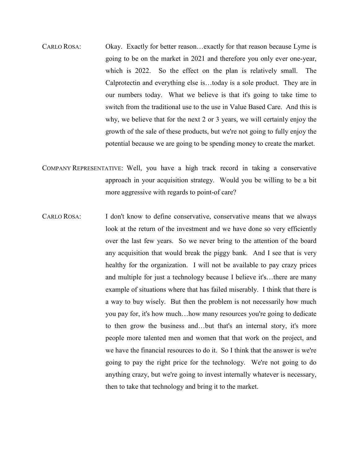- CARLO ROSA: Okay. Exactly for better reason…exactly for that reason because Lyme is going to be on the market in 2021 and therefore you only ever one-year, which is 2022. So the effect on the plan is relatively small. The Calprotectin and everything else is…today is a sole product. They are in our numbers today. What we believe is that it's going to take time to switch from the traditional use to the use in Value Based Care. And this is why, we believe that for the next 2 or 3 years, we will certainly enjoy the growth of the sale of these products, but we're not going to fully enjoy the potential because we are going to be spending money to create the market.
- COMPANY REPRESENTATIVE: Well, you have a high track record in taking a conservative approach in your acquisition strategy. Would you be willing to be a bit more aggressive with regards to point-of care?
- CARLO ROSA: I don't know to define conservative, conservative means that we always look at the return of the investment and we have done so very efficiently over the last few years. So we never bring to the attention of the board any acquisition that would break the piggy bank. And I see that is very healthy for the organization. I will not be available to pay crazy prices and multiple for just a technology because I believe it's…there are many example of situations where that has failed miserably. I think that there is a way to buy wisely. But then the problem is not necessarily how much you pay for, it's how much…how many resources you're going to dedicate to then grow the business and…but that's an internal story, it's more people more talented men and women that that work on the project, and we have the financial resources to do it. So I think that the answer is we're going to pay the right price for the technology. We're not going to do anything crazy, but we're going to invest internally whatever is necessary, then to take that technology and bring it to the market.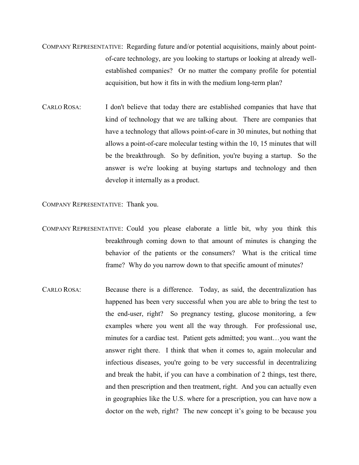- COMPANY REPRESENTATIVE: Regarding future and/or potential acquisitions, mainly about pointof-care technology, are you looking to startups or looking at already wellestablished companies? Or no matter the company profile for potential acquisition, but how it fits in with the medium long-term plan?
- CARLO ROSA: I don't believe that today there are established companies that have that kind of technology that we are talking about. There are companies that have a technology that allows point-of-care in 30 minutes, but nothing that allows a point-of-care molecular testing within the 10, 15 minutes that will be the breakthrough. So by definition, you're buying a startup. So the answer is we're looking at buying startups and technology and then develop it internally as a product.

COMPANY REPRESENTATIVE: Thank you.

- COMPANY REPRESENTATIVE: Could you please elaborate a little bit, why you think this breakthrough coming down to that amount of minutes is changing the behavior of the patients or the consumers? What is the critical time frame? Why do you narrow down to that specific amount of minutes?
- CARLO ROSA: Because there is a difference. Today, as said, the decentralization has happened has been very successful when you are able to bring the test to the end-user, right? So pregnancy testing, glucose monitoring, a few examples where you went all the way through. For professional use, minutes for a cardiac test. Patient gets admitted; you want…you want the answer right there. I think that when it comes to, again molecular and infectious diseases, you're going to be very successful in decentralizing and break the habit, if you can have a combination of 2 things, test there, and then prescription and then treatment, right. And you can actually even in geographies like the U.S. where for a prescription, you can have now a doctor on the web, right? The new concept it's going to be because you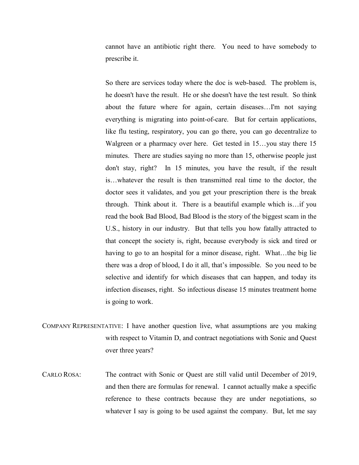cannot have an antibiotic right there. You need to have somebody to prescribe it.

So there are services today where the doc is web-based. The problem is, he doesn't have the result. He or she doesn't have the test result. So think about the future where for again, certain diseases…I'm not saying everything is migrating into point-of-care. But for certain applications, like flu testing, respiratory, you can go there, you can go decentralize to Walgreen or a pharmacy over here. Get tested in 15…you stay there 15 minutes. There are studies saying no more than 15, otherwise people just don't stay, right? In 15 minutes, you have the result, if the result is…whatever the result is then transmitted real time to the doctor, the doctor sees it validates, and you get your prescription there is the break through. Think about it. There is a beautiful example which is…if you read the book Bad Blood, Bad Blood is the story of the biggest scam in the U.S., history in our industry. But that tells you how fatally attracted to that concept the society is, right, because everybody is sick and tired or having to go to an hospital for a minor disease, right. What...the big lie there was a drop of blood, I do it all, that's impossible. So you need to be selective and identify for which diseases that can happen, and today its infection diseases, right. So infectious disease 15 minutes treatment home is going to work.

- COMPANY REPRESENTATIVE: I have another question live, what assumptions are you making with respect to Vitamin D, and contract negotiations with Sonic and Quest over three years?
- CARLO ROSA: The contract with Sonic or Quest are still valid until December of 2019, and then there are formulas for renewal. I cannot actually make a specific reference to these contracts because they are under negotiations, so whatever I say is going to be used against the company. But, let me say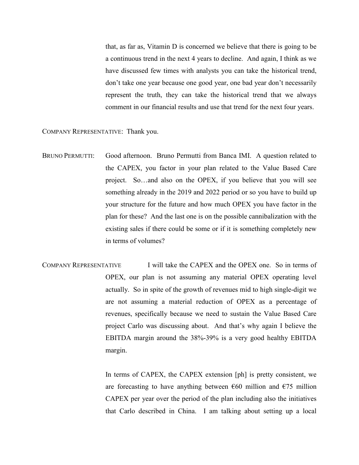that, as far as, Vitamin D is concerned we believe that there is going to be a continuous trend in the next 4 years to decline. And again, I think as we have discussed few times with analysts you can take the historical trend, don't take one year because one good year, one bad year don't necessarily represent the truth, they can take the historical trend that we always comment in our financial results and use that trend for the next four years.

COMPANY REPRESENTATIVE: Thank you.

- BRUNO PERMUTTI: Good afternoon. Bruno Permutti from Banca IMI. A question related to the CAPEX, you factor in your plan related to the Value Based Care project. So…and also on the OPEX, if you believe that you will see something already in the 2019 and 2022 period or so you have to build up your structure for the future and how much OPEX you have factor in the plan for these? And the last one is on the possible cannibalization with the existing sales if there could be some or if it is something completely new in terms of volumes?
- COMPANY REPRESENTATIVE I will take the CAPEX and the OPEX one. So in terms of OPEX, our plan is not assuming any material OPEX operating level actually. So in spite of the growth of revenues mid to high single-digit we are not assuming a material reduction of OPEX as a percentage of revenues, specifically because we need to sustain the Value Based Care project Carlo was discussing about. And that's why again I believe the EBITDA margin around the 38%-39% is a very good healthy EBITDA margin.

In terms of CAPEX, the CAPEX extension [ph] is pretty consistent, we are forecasting to have anything between  $\epsilon$ 60 million and  $\epsilon$ 75 million CAPEX per year over the period of the plan including also the initiatives that Carlo described in China. I am talking about setting up a local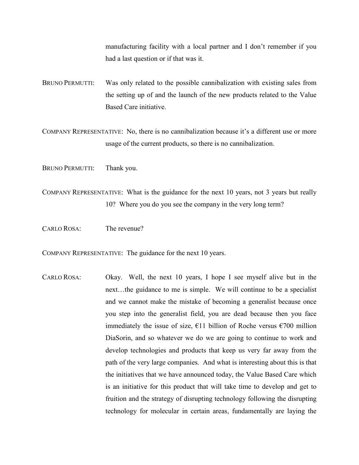manufacturing facility with a local partner and I don't remember if you had a last question or if that was it.

BRUNO PERMUTTI: Was only related to the possible cannibalization with existing sales from the setting up of and the launch of the new products related to the Value Based Care initiative.

COMPANY REPRESENTATIVE: No, there is no cannibalization because it's a different use or more usage of the current products, so there is no cannibalization.

BRUNO PERMUTTI: Thank you.

COMPANY REPRESENTATIVE: What is the guidance for the next 10 years, not 3 years but really 10? Where you do you see the company in the very long term?

CARLO ROSA: The revenue?

COMPANY REPRESENTATIVE: The guidance for the next 10 years.

CARLO ROSA: Okay. Well, the next 10 years, I hope I see myself alive but in the next…the guidance to me is simple. We will continue to be a specialist and we cannot make the mistake of becoming a generalist because once you step into the generalist field, you are dead because then you face immediately the issue of size,  $\epsilon$ 11 billion of Roche versus  $\epsilon$ 700 million DiaSorin, and so whatever we do we are going to continue to work and develop technologies and products that keep us very far away from the path of the very large companies. And what is interesting about this is that the initiatives that we have announced today, the Value Based Care which is an initiative for this product that will take time to develop and get to fruition and the strategy of disrupting technology following the disrupting technology for molecular in certain areas, fundamentally are laying the